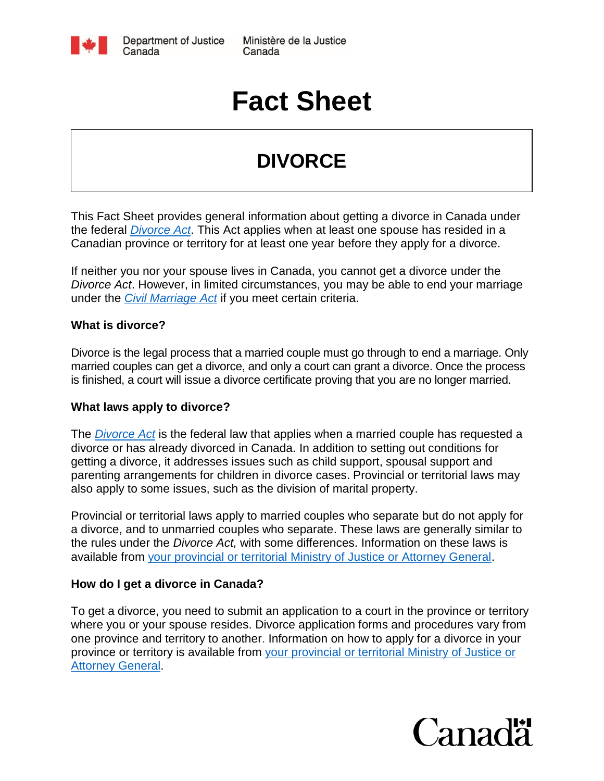

# **Fact Sheet**

## **DIVORCE**

This Fact Sheet provides general information about getting a divorce in Canada under the federal *[Divorce Act](http://laws-lois.justice.gc.ca/eng/acts/D-3.4/index.html)*. This Act applies when at least one spouse has resided in a Canadian province or territory for at least one year before they apply for a divorce.

If neither you nor your spouse lives in Canada, you cannot get a divorce under the *Divorce Act*. However, in limited circumstances, you may be able to end your marriage under the *[Civil Marriage Act](http://www.justice.gc.ca/eng/fl-df/divorce/app.html)* if you meet certain criteria.

#### **What is divorce?**

Divorce is the legal process that a married couple must go through to end a marriage. Only married couples can get a divorce, and only a court can grant a divorce. Once the process is finished, a court will issue a divorce certificate proving that you are no longer married.

#### **What laws apply to divorce?**

The *[Divorce Act](http://laws-lois.justice.gc.ca/eng/acts/D-3.4/index.html)* is the federal law that applies when a married couple has requested a divorce or has already divorced in Canada. In addition to setting out conditions for getting a divorce, it addresses issues such as child support, spousal support and parenting arrangements for children in divorce cases. Provincial or territorial laws may also apply to some issues, such as the division of marital property.

Provincial or territorial laws apply to married couples who separate but do not apply for a divorce, and to unmarried couples who separate. These laws are generally similar to the rules under the *Divorce Act,* with some differences. Information on these laws is available from [your provincial or territorial Ministry of Justice or Attorney General.](http://www.justice.gc.ca/eng/fl-df/pt-tp/index.html)

#### **How do I get a divorce in Canada?**

To get a divorce, you need to submit an application to a court in the province or territory where you or your spouse resides. Divorce application forms and procedures vary from one province and territory to another. Information on how to apply for a divorce in your province or territory is available from [your provincial or territorial Ministry of Justice or](http://www.justice.gc.ca/eng/fl-df/pt-tp/index.html)  [Attorney General.](http://www.justice.gc.ca/eng/fl-df/pt-tp/index.html)

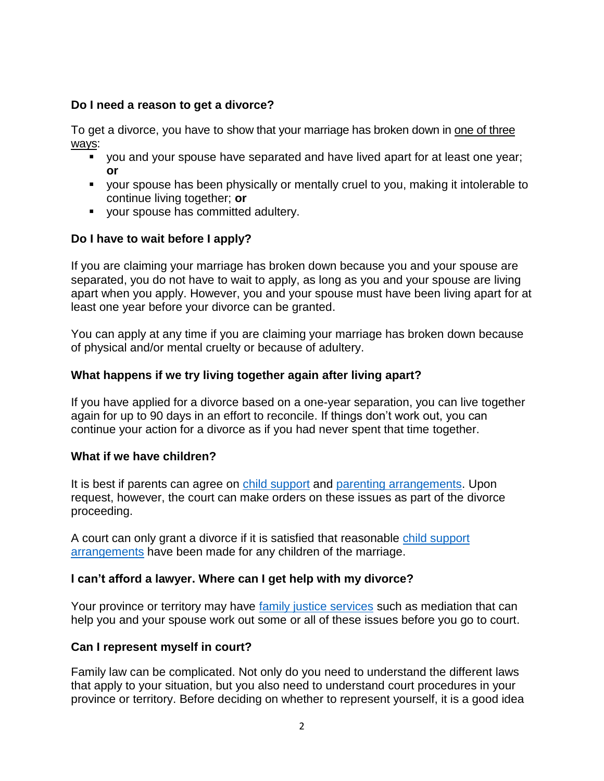#### **Do I need a reason to get a divorce?**

To get a divorce, you have to show that your marriage has broken down in one of three ways:

- you and your spouse have separated and have lived apart for at least one year; **or**
- your spouse has been physically or mentally cruel to you, making it intolerable to continue living together; **or**
- **v** your spouse has committed adultery.

#### **Do I have to wait before I apply?**

If you are claiming your marriage has broken down because you and your spouse are separated, you do not have to wait to apply, as long as you and your spouse are living apart when you apply. However, you and your spouse must have been living apart for at least one year before your divorce can be granted.

You can apply at any time if you are claiming your marriage has broken down because of physical and/or mental cruelty or because of adultery.

#### **What happens if we try living together again after living apart?**

If you have applied for a divorce based on a one-year separation, you can live together again for up to 90 days in an effort to reconcile. If things don't work out, you can continue your action for a divorce as if you had never spent that time together.

#### **What if we have children?**

It is best if parents can agree on [child support](http://www.justice.gc.ca/eng/fl-df/child-enfant/index.html) and [parenting arrangements.](http://www.justice.gc.ca/eng/fl-df/parent/index.html) Upon request, however, the court can make orders on these issues as part of the divorce proceeding.

A court can only grant a divorce if it is satisfied that reasonable [child support](http://www.justice.gc.ca/eng/fl-df/child-enfant/csa-paee.html)  [arrangements](http://www.justice.gc.ca/eng/fl-df/child-enfant/csa-paee.html) have been made for any children of the marriage.

#### **I can't afford a lawyer. Where can I get help with my divorce?**

Your province or territory may have [family justice services](http://www.justice.gc.ca/eng/fl-df/fjs-sjf/index.html) such as mediation that can help you and your spouse work out some or all of these issues before you go to court.

#### **Can I represent myself in court?**

Family law can be complicated. Not only do you need to understand the different laws that apply to your situation, but you also need to understand court procedures in your province or territory. Before deciding on whether to represent yourself, it is a good idea